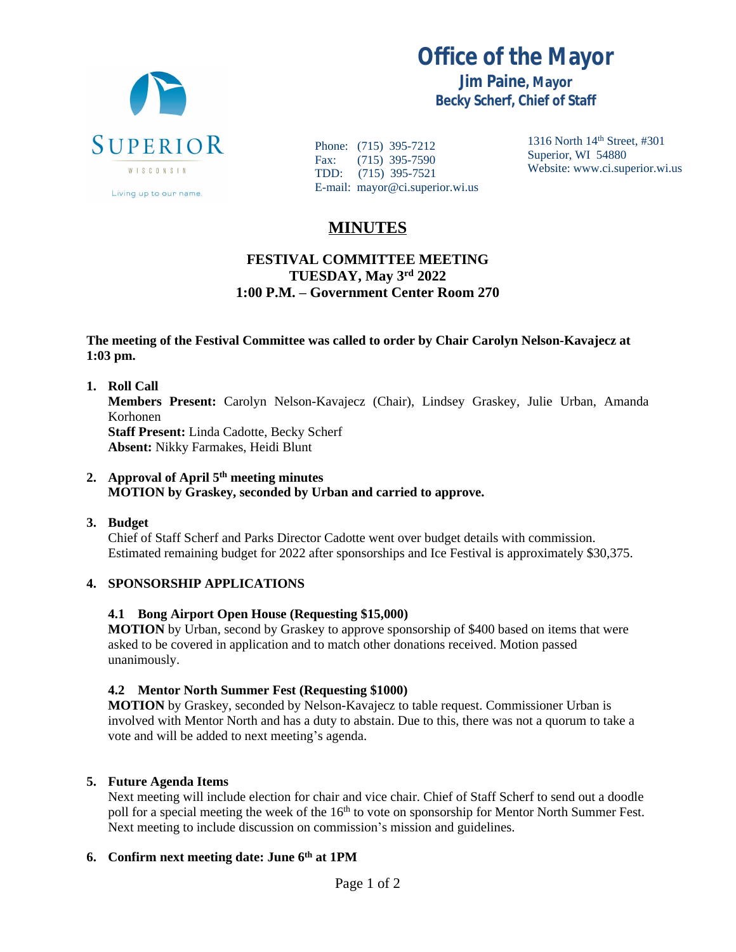

**Office of the Mayor**

**Jim Paine, Mayor Becky Scherf, Chief of Staff**

Phone: (715) 395-7212<br>Fax: (715) 395-7590  $(715)$  395-7590 TDD: (715) 395-7521 E-mail: mayor@ci.superior.wi.us 1316 North 14th Street, #301 Superior, WI 54880 Website: www.ci.superior.wi.us

# **MINUTES**

## **FESTIVAL COMMITTEE MEETING TUESDAY, May 3rd 2022 1:00 P.M. – Government Center Room 270**

#### **The meeting of the Festival Committee was called to order by Chair Carolyn Nelson-Kavajecz at 1:03 pm.**

**1. Roll Call Members Present:** Carolyn Nelson-Kavajecz (Chair), Lindsey Graskey, Julie Urban, Amanda Korhonen **Staff Present:** Linda Cadotte, Becky Scherf **Absent:** Nikky Farmakes, Heidi Blunt

### **2. Approval of April 5th meeting minutes MOTION by Graskey, seconded by Urban and carried to approve.**

**3. Budget**

Chief of Staff Scherf and Parks Director Cadotte went over budget details with commission. Estimated remaining budget for 2022 after sponsorships and Ice Festival is approximately \$30,375.

### **4. SPONSORSHIP APPLICATIONS**

### **4.1 Bong Airport Open House (Requesting \$15,000)**

**MOTION** by Urban, second by Graskey to approve sponsorship of \$400 based on items that were asked to be covered in application and to match other donations received. Motion passed unanimously.

### **4.2 Mentor North Summer Fest (Requesting \$1000)**

**MOTION** by Graskey, seconded by Nelson-Kavajecz to table request. Commissioner Urban is involved with Mentor North and has a duty to abstain. Due to this, there was not a quorum to take a vote and will be added to next meeting's agenda.

### **5. Future Agenda Items**

Next meeting will include election for chair and vice chair. Chief of Staff Scherf to send out a doodle poll for a special meeting the week of the 16<sup>th</sup> to vote on sponsorship for Mentor North Summer Fest. Next meeting to include discussion on commission's mission and guidelines.

### **6. Confirm next meeting date: June 6th at 1PM**